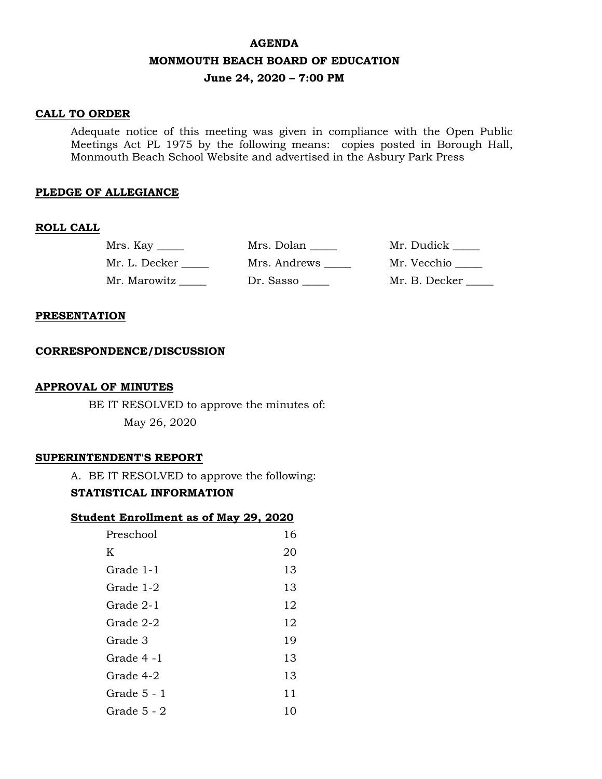### **AGENDA**

### **MONMOUTH BEACH BOARD OF EDUCATION**

## **June 24, 2020 – 7:00 PM**

## **CALL TO ORDER**

Adequate notice of this meeting was given in compliance with the Open Public Meetings Act PL 1975 by the following means: copies posted in Borough Hall, Monmouth Beach School Website and advertised in the Asbury Park Press

### **PLEDGE OF ALLEGIANCE**

#### **ROLL CALL**

| Mrs. Kay $\_\_$ | Mrs. Dolan   | Mr. Dudick _____ |
|-----------------|--------------|------------------|
| Mr. L. Decker   | Mrs. Andrews | Mr. Vecchio      |
| Mr. Marowitz    | Dr. Sasso    | Mr. B. Decker    |

### **PRESENTATION**

### **CORRESPONDENCE/DISCUSSION**

### **APPROVAL OF MINUTES**

BE IT RESOLVED to approve the minutes of: May 26, 2020

### **SUPERINTENDENT'S REPORT**

A. BE IT RESOLVED to approve the following:

## **STATISTICAL INFORMATION**

| <b>Student Enrollment as of May 29, 2020</b> |  |  |  |
|----------------------------------------------|--|--|--|
|                                              |  |  |  |

| Preschool   | 16 |
|-------------|----|
| K           | 20 |
| Grade 1-1   | 13 |
| Grade 1-2   | 13 |
| Grade 2-1   | 12 |
| Grade 2-2   | 12 |
| Grade 3     | 19 |
| Grade 4 -1  | 13 |
| Grade 4-2   | 13 |
| Grade 5 - 1 | 11 |
| Grade 5 - 2 | 10 |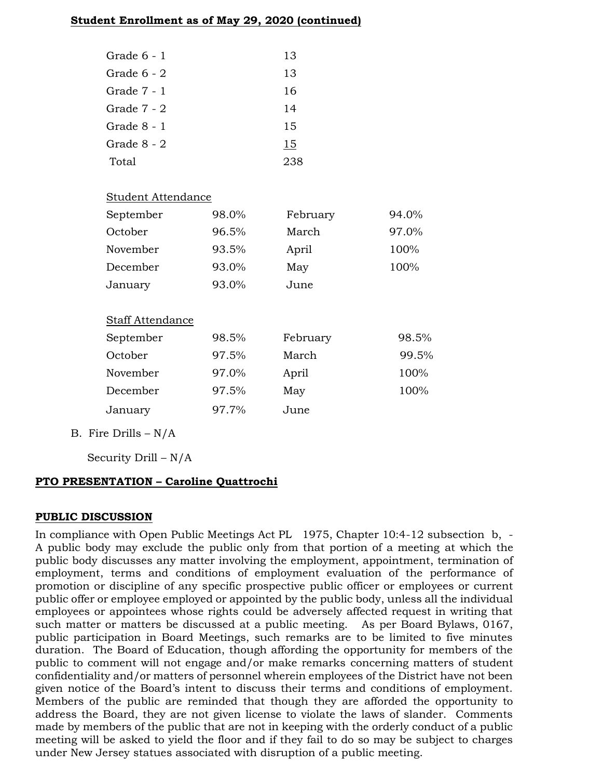## **Student Enrollment as of May 29, 2020 (continued)**

| Grade $6 - 1$ | 13  |
|---------------|-----|
| Grade 6 - 2   | 13  |
| Grade $7 - 1$ | 16  |
| Grade $7 - 2$ | 14  |
| Grade 8 - 1   | 15  |
| Grade 8 - 2   | 15  |
| Total         | 238 |

## Student Attendance

| September               | 98.0% | February | 94.0% |
|-------------------------|-------|----------|-------|
| October                 | 96.5% | March    | 97.0% |
| November                | 93.5% | April    | 100%  |
| December                | 93.0% | May      | 100%  |
| January                 | 93.0% | June     |       |
|                         |       |          |       |
| <b>Staff Attendance</b> |       |          |       |
| September               | 98.5% | February | 98.5% |
| October                 | 97.5% | March    | 99.5% |
| November                | 97.0% | April    | 100%  |
| December                | 97.5% | May      | 100%  |
| January                 | 97.7% | June     |       |

B. Fire Drills  $-N/A$ 

Security Drill – N/A

# **PTO PRESENTATION – Caroline Quattrochi**

## **PUBLIC DISCUSSION**

In compliance with Open Public Meetings Act PL 1975, Chapter 10:4-12 subsection b, - A public body may exclude the public only from that portion of a meeting at which the public body discusses any matter involving the employment, appointment, termination of employment, terms and conditions of employment evaluation of the performance of promotion or discipline of any specific prospective public officer or employees or current public offer or employee employed or appointed by the public body, unless all the individual employees or appointees whose rights could be adversely affected request in writing that such matter or matters be discussed at a public meeting. As per Board Bylaws, 0167, public participation in Board Meetings, such remarks are to be limited to five minutes duration. The Board of Education, though affording the opportunity for members of the public to comment will not engage and/or make remarks concerning matters of student confidentiality and/or matters of personnel wherein employees of the District have not been given notice of the Board's intent to discuss their terms and conditions of employment. Members of the public are reminded that though they are afforded the opportunity to address the Board, they are not given license to violate the laws of slander. Comments made by members of the public that are not in keeping with the orderly conduct of a public meeting will be asked to yield the floor and if they fail to do so may be subject to charges under New Jersey statues associated with disruption of a public meeting.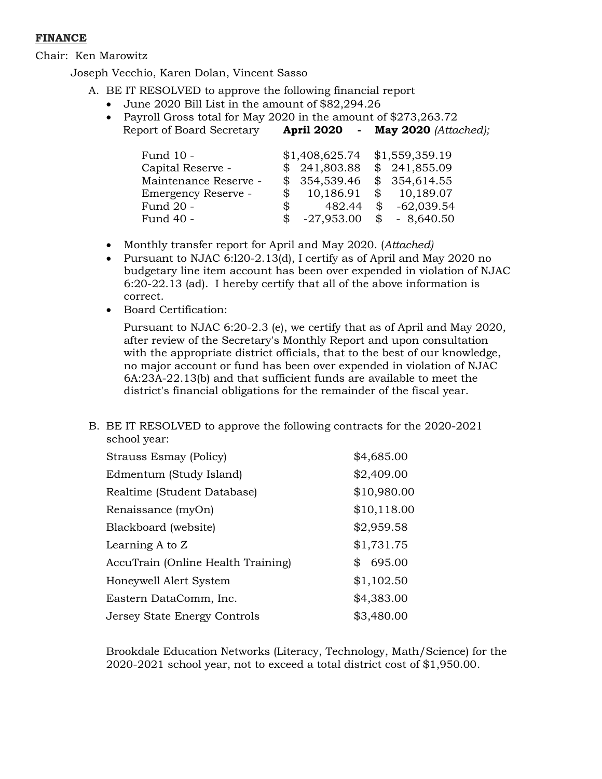## **FINANCE**

Chair: Ken Marowitz

Joseph Vecchio, Karen Dolan, Vincent Sasso

- A. BE IT RESOLVED to approve the following financial report
	- June 2020 Bill List in the amount of \$82,294.26
	- Payroll Gross total for May 2020 in the amount of \$273,263.72 Report of Board Secretary **April 2020 - May 2020** *(Attached);*

| Fund 10 -             |                | \$1,408,625.74 |              | \$1,559,359.19 |
|-----------------------|----------------|----------------|--------------|----------------|
| Capital Reserve -     |                | \$241,803.88   |              | \$241,855.09   |
| Maintenance Reserve - |                | \$354,539.46   |              | \$354,614.55   |
| Emergency Reserve -   |                | 10,186.91      | $\mathbb{S}$ | 10,189.07      |
| Fund 20 -             | $\mathbb{S}^-$ | 482.44         | \$           | $-62,039.54$   |
| Fund 40 -             | S              | $-27,953.00$   | \$           | $-8,640.50$    |

- Monthly transfer report for April and May 2020. (*Attached)*
- Pursuant to NJAC 6:l20-2.13(d), I certify as of April and May 2020 no budgetary line item account has been over expended in violation of NJAC 6:20-22.13 (ad). I hereby certify that all of the above information is correct.
- Board Certification:

Pursuant to NJAC 6:20-2.3 (e), we certify that as of April and May 2020, after review of the Secretary's Monthly Report and upon consultation with the appropriate district officials, that to the best of our knowledge, no major account or fund has been over expended in violation of NJAC 6A:23A-22.13(b) and that sufficient funds are available to meet the district's financial obligations for the remainder of the fiscal year.

B. BE IT RESOLVED to approve the following contracts for the 2020-2021 school year:

| <b>Strauss Esmay (Policy)</b>      | \$4,685.00  |
|------------------------------------|-------------|
| Edmentum (Study Island)            | \$2,409.00  |
| Realtime (Student Database)        | \$10,980.00 |
| Renaissance (myOn)                 | \$10,118.00 |
| Blackboard (website)               | \$2,959.58  |
| Learning A to Z                    | \$1,731.75  |
| AccuTrain (Online Health Training) | \$695.00    |
| Honeywell Alert System             | \$1,102.50  |
| Eastern DataComm, Inc.             | \$4,383.00  |
| Jersey State Energy Controls       | \$3,480.00  |

Brookdale Education Networks (Literacy, Technology, Math/Science) for the 2020-2021 school year, not to exceed a total district cost of \$1,950.00.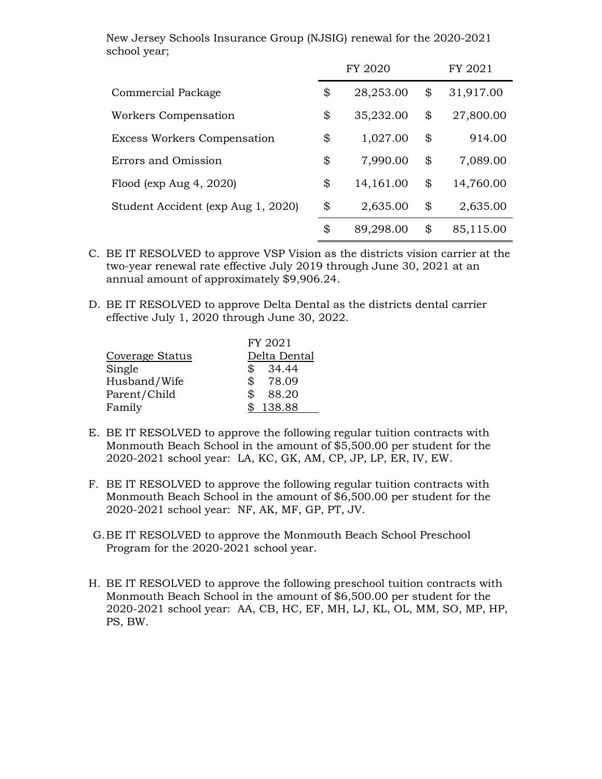New Jersey Schools Insurance Group (NJSIG) renewal for the 2020-2021 school year;

|                                    | FY 2020         | FY 2021         |
|------------------------------------|-----------------|-----------------|
| <b>Commercial Package</b>          | \$<br>28,253.00 | \$<br>31,917.00 |
| Workers Compensation               | \$<br>35,232.00 | \$<br>27,800.00 |
| <b>Excess Workers Compensation</b> | \$<br>1,027.00  | \$<br>914.00    |
| Errors and Omission                | \$<br>7,990.00  | \$<br>7,089.00  |
| Flood (exp Aug 4, 2020)            | \$<br>14,161.00 | \$<br>14,760.00 |
| Student Accident (exp Aug 1, 2020) | \$<br>2,635.00  | \$<br>2,635.00  |
|                                    | \$<br>89,298.00 | \$<br>85,115.00 |

- C. BE IT RESOLVED to approve VSP Vision as the districts vision carrier at the two-year renewal rate effective July 2019 through June 30, 2021 at an annual amount of approximately \$9,906.24.
- D. BE IT RESOLVED to approve Delta Dental as the districts dental carrier effective July 1, 2020 through June 30, 2022.

|                 | FY 2021      |
|-----------------|--------------|
| Coverage Status | Delta Dental |
| Single          | \$34.44      |
| Husband/Wife    | \$78.09      |
| Parent/Child    | \$<br>88.20  |
| Family          | \$138.88     |

- E. BE IT RESOLVED to approve the following regular tuition contracts with Monmouth Beach School in the amount of \$5,500.00 per student for the 2020-2021 school year: LA, KC, GK, AM, CP, JP, LP, ER, IV, EW.
- F. BE IT RESOLVED to approve the following regular tuition contracts with Monmouth Beach School in the amount of \$6,500.00 per student for the 2020-2021 school year: NF, AK, MF, GP, PT, JV.
- G.BE IT RESOLVED to approve the Monmouth Beach School Preschool Program for the 2020-2021 school year.
- H. BE IT RESOLVED to approve the following preschool tuition contracts with Monmouth Beach School in the amount of \$6,500.00 per student for the 2020-2021 school year: AA, CB, HC, EF, MH, LJ, KL, OL, MM, SO, MP, HP, PS, BW.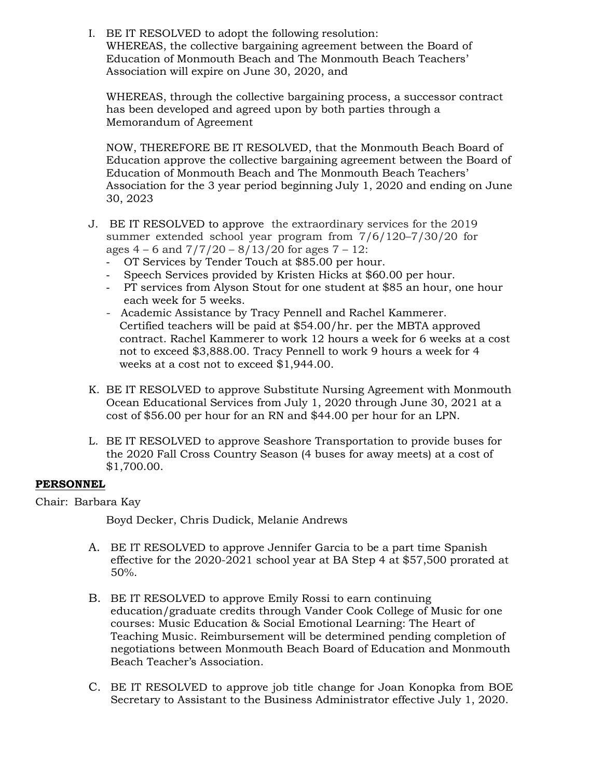I. BE IT RESOLVED to adopt the following resolution: WHEREAS, the collective bargaining agreement between the Board of Education of Monmouth Beach and The Monmouth Beach Teachers' Association will expire on June 30, 2020, and

WHEREAS, through the collective bargaining process, a successor contract has been developed and agreed upon by both parties through a Memorandum of Agreement

NOW, THEREFORE BE IT RESOLVED, that the Monmouth Beach Board of Education approve the collective bargaining agreement between the Board of Education of Monmouth Beach and The Monmouth Beach Teachers' Association for the 3 year period beginning July 1, 2020 and ending on June 30, 2023

- J. BE IT RESOLVED to approve the extraordinary services for the 2019 summer extended school year program from 7/6/120–7/30/20 for ages  $4 - 6$  and  $7/7/20 - 8/13/20$  for ages  $7 - 12$ :
	- OT Services by Tender Touch at \$85.00 per hour.
	- Speech Services provided by Kristen Hicks at \$60.00 per hour.
	- PT services from Alyson Stout for one student at \$85 an hour, one hour each week for 5 weeks.
	- Academic Assistance by Tracy Pennell and Rachel Kammerer. Certified teachers will be paid at \$54.00/hr. per the MBTA approved contract. Rachel Kammerer to work 12 hours a week for 6 weeks at a cost not to exceed \$3,888.00. Tracy Pennell to work 9 hours a week for 4 weeks at a cost not to exceed \$1,944.00.
- K. BE IT RESOLVED to approve Substitute Nursing Agreement with Monmouth Ocean Educational Services from July 1, 2020 through June 30, 2021 at a cost of \$56.00 per hour for an RN and \$44.00 per hour for an LPN.
- L. BE IT RESOLVED to approve Seashore Transportation to provide buses for the 2020 Fall Cross Country Season (4 buses for away meets) at a cost of \$1,700.00.

## **PERSONNEL**

Chair: Barbara Kay

Boyd Decker, Chris Dudick, Melanie Andrews

- A. BE IT RESOLVED to approve Jennifer Garcia to be a part time Spanish effective for the 2020-2021 school year at BA Step 4 at \$57,500 prorated at 50%.
- B. BE IT RESOLVED to approve Emily Rossi to earn continuing education/graduate credits through Vander Cook College of Music for one courses: Music Education & Social Emotional Learning: The Heart of Teaching Music. Reimbursement will be determined pending completion of negotiations between Monmouth Beach Board of Education and Monmouth Beach Teacher's Association.
- C. BE IT RESOLVED to approve job title change for Joan Konopka from BOE Secretary to Assistant to the Business Administrator effective July 1, 2020.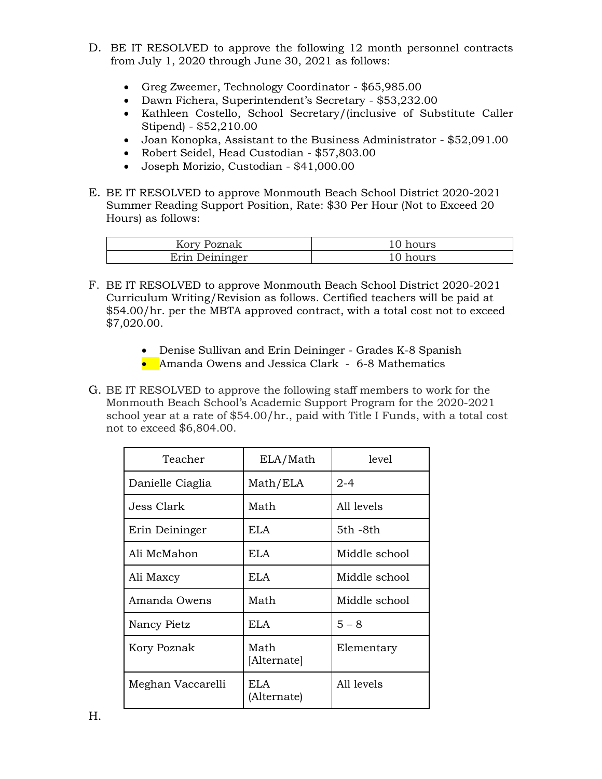- D. BE IT RESOLVED to approve the following 12 month personnel contracts from July 1, 2020 through June 30, 2021 as follows:
	- Greg Zweemer, Technology Coordinator \$65,985.00
	- Dawn Fichera, Superintendent's Secretary \$53,232.00
	- Kathleen Costello, School Secretary/(inclusive of Substitute Caller Stipend) - \$52,210.00
	- Joan Konopka, Assistant to the Business Administrator \$52,091.00
	- Robert Seidel, Head Custodian \$57,803.00
	- Joseph Morizio, Custodian \$41,000.00
- E. BE IT RESOLVED to approve Monmouth Beach School District 2020-2021 Summer Reading Support Position, Rate: \$30 Per Hour (Not to Exceed 20 Hours) as follows:

| Kory Poznak    | 10 hours |
|----------------|----------|
| Erin Deininger | 10 hours |

- F. BE IT RESOLVED to approve Monmouth Beach School District 2020-2021 Curriculum Writing/Revision as follows. Certified teachers will be paid at \$54.00/hr. per the MBTA approved contract, with a total cost not to exceed \$7,020.00.
	- Denise Sullivan and Erin Deininger Grades K-8 Spanish
	- Amanda Owens and Jessica Clark 6-8 Mathematics
- G. BE IT RESOLVED to approve the following staff members to work for the Monmouth Beach School's Academic Support Program for the 2020-2021 school year at a rate of \$54.00/hr., paid with Title I Funds, with a total cost not to exceed \$6,804.00.

| Teacher           | ELA/Math            | level         |
|-------------------|---------------------|---------------|
| Danielle Ciaglia  | Math/ELA            | $2 - 4$       |
| Jess Clark        | Math                | All levels    |
| Erin Deininger    | ELA.                | 5th -8th      |
| Ali McMahon       | ELA.                | Middle school |
| Ali Maxcy         | ELA.                | Middle school |
| Amanda Owens      | Math                | Middle school |
| Nancy Pietz       | ELA.                | $5 - 8$       |
| Kory Poznak       | Math<br>[Alternate] | Elementary    |
| Meghan Vaccarelli | ELA.<br>(Alternate) | All levels    |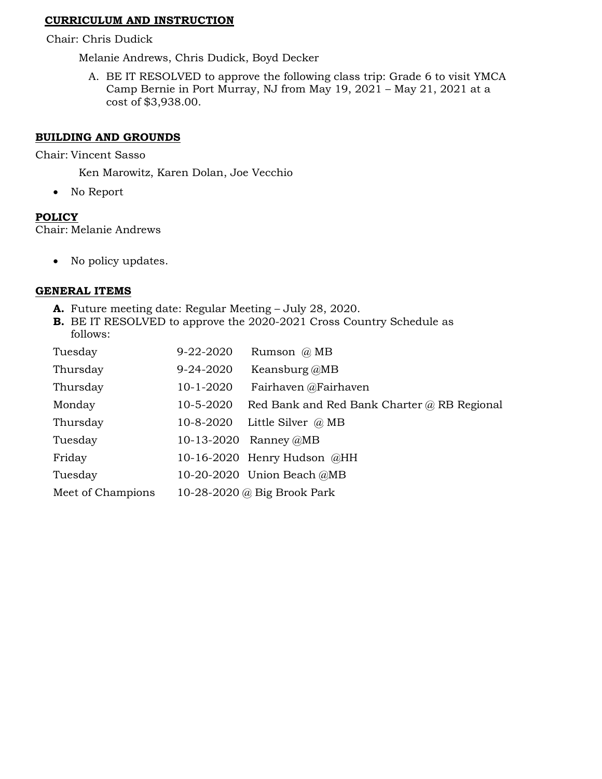## **CURRICULUM AND INSTRUCTION**

Chair: Chris Dudick

Melanie Andrews, Chris Dudick, Boyd Decker

A. BE IT RESOLVED to approve the following class trip: Grade 6 to visit YMCA Camp Bernie in Port Murray, NJ from May 19, 2021 – May 21, 2021 at a cost of \$3,938.00.

### **BUILDING AND GROUNDS**

Chair: Vincent Sasso

Ken Marowitz, Karen Dolan, Joe Vecchio

• No Report

## **POLICY**

Chair: Melanie Andrews

• No policy updates.

## **GENERAL ITEMS**

- **A.** Future meeting date: Regular Meeting July 28, 2020.
- **B.** BE IT RESOLVED to approve the 2020-2021 Cross Country Schedule as follows:

| Tuesday           | 9-22-2020 | Rumson @ MB                                 |
|-------------------|-----------|---------------------------------------------|
|                   |           |                                             |
| Thursday          | 9-24-2020 | Keansburg @MB                               |
| Thursday          | 10-1-2020 | Fairhaven @Fairhaven                        |
| Monday            | 10-5-2020 | Red Bank and Red Bank Charter @ RB Regional |
| Thursday          | 10-8-2020 | Little Silver $\omega$ MB                   |
| Tuesday           |           | 10-13-2020 Ranney @MB                       |
| Friday            |           | 10-16-2020 Henry Hudson @HH                 |
| Tuesday           |           | 10-20-2020 Union Beach @MB                  |
| Meet of Champions |           | 10-28-2020 @ Big Brook Park                 |